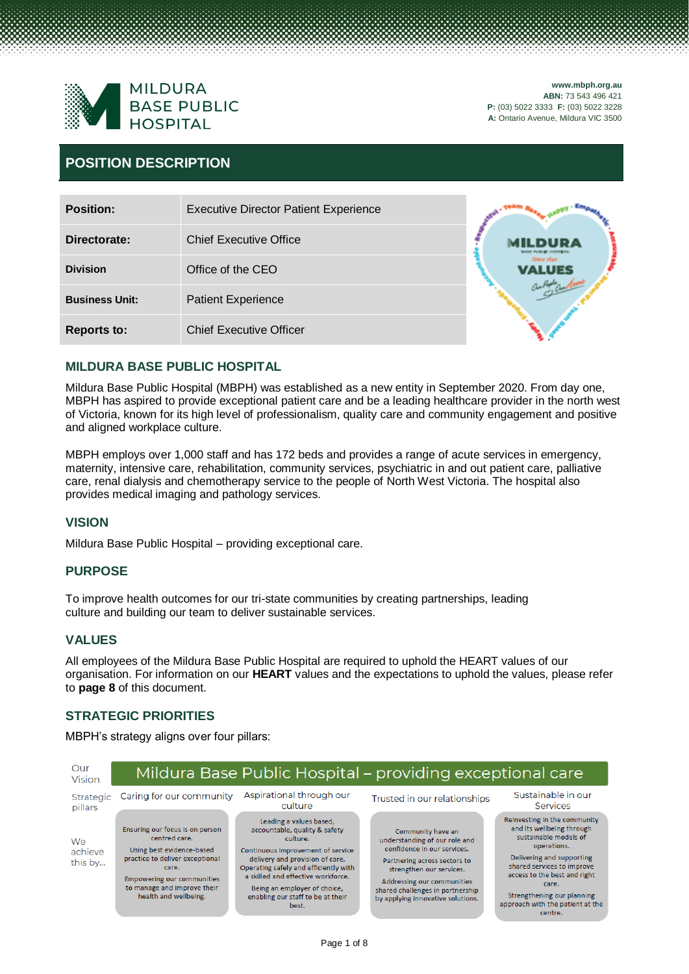

### **POSITION DESCRIPTION**

| <b>Position:</b>      | <b>Executive Director Patient Experience</b> |            |
|-----------------------|----------------------------------------------|------------|
| Directorate:          | <b>Chief Executive Office</b>                |            |
| <b>Division</b>       | Office of the CEO                            | Since show |
| <b>Business Unit:</b> | <b>Patient Experience</b>                    |            |
| <b>Reports to:</b>    | <b>Chief Executive Officer</b>               |            |

#### **MILDURA BASE PUBLIC HOSPITAL**

Mildura Base Public Hospital (MBPH) was established as a new entity in September 2020. From day one, MBPH has aspired to provide exceptional patient care and be a leading healthcare provider in the north west of Victoria, known for its high level of professionalism, quality care and community engagement and positive and aligned workplace culture.

MBPH employs over 1,000 staff and has 172 beds and provides a range of acute services in emergency, maternity, intensive care, rehabilitation, community services, psychiatric in and out patient care, palliative care, renal dialysis and chemotherapy service to the people of North West Victoria. The hospital also provides medical imaging and pathology services.

#### **VISION**

Mildura Base Public Hospital – providing exceptional care.

#### **PURPOSE**

To improve health outcomes for our tri-state communities by creating partnerships, leading culture and building our team to deliver sustainable services.

#### **VALUES**

All employees of the Mildura Base Public Hospital are required to uphold the HEART values of our organisation. For information on our **HEART** values and the expectations to uphold the values, please refer to **page 8** of this document.

#### **STRATEGIC PRIORITIES**

MBPH's strategy aligns over four pillars:

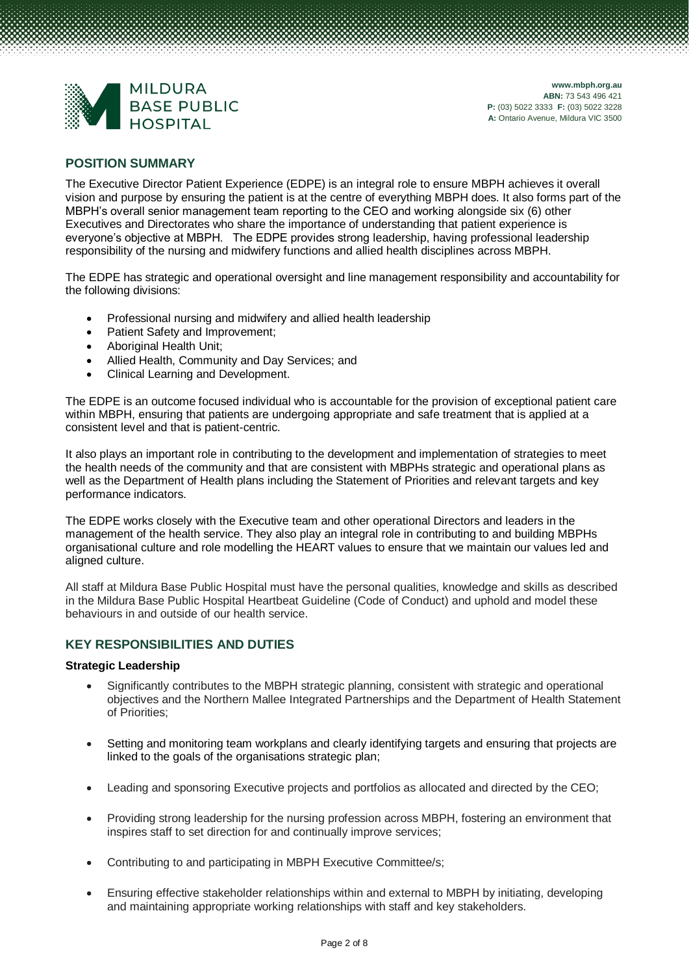

#### **POSITION SUMMARY**

The Executive Director Patient Experience (EDPE) is an integral role to ensure MBPH achieves it overall vision and purpose by ensuring the patient is at the centre of everything MBPH does. It also forms part of the MBPH's overall senior management team reporting to the CEO and working alongside six (6) other Executives and Directorates who share the importance of understanding that patient experience is everyone's objective at MBPH. The EDPE provides strong leadership, having professional leadership responsibility of the nursing and midwifery functions and allied health disciplines across MBPH.

The EDPE has strategic and operational oversight and line management responsibility and accountability for the following divisions:

- Professional nursing and midwifery and allied health leadership
- Patient Safety and Improvement;
- Aboriginal Health Unit;
- Allied Health, Community and Day Services; and
- Clinical Learning and Development.

The EDPE is an outcome focused individual who is accountable for the provision of exceptional patient care within MBPH, ensuring that patients are undergoing appropriate and safe treatment that is applied at a consistent level and that is patient-centric.

It also plays an important role in contributing to the development and implementation of strategies to meet the health needs of the community and that are consistent with MBPHs strategic and operational plans as well as the Department of Health plans including the Statement of Priorities and relevant targets and key performance indicators.

The EDPE works closely with the Executive team and other operational Directors and leaders in the management of the health service. They also play an integral role in contributing to and building MBPHs organisational culture and role modelling the HEART values to ensure that we maintain our values led and aligned culture.

All staff at Mildura Base Public Hospital must have the personal qualities, knowledge and skills as described in the Mildura Base Public Hospital Heartbeat Guideline (Code of Conduct) and uphold and model these behaviours in and outside of our health service.

#### **KEY RESPONSIBILITIES AND DUTIES**

#### **Strategic Leadership**

- Significantly contributes to the MBPH strategic planning, consistent with strategic and operational objectives and the Northern Mallee Integrated Partnerships and the Department of Health Statement of Priorities;
- Setting and monitoring team workplans and clearly identifying targets and ensuring that projects are linked to the goals of the organisations strategic plan;
- Leading and sponsoring Executive projects and portfolios as allocated and directed by the CEO;
- Providing strong leadership for the nursing profession across MBPH, fostering an environment that inspires staff to set direction for and continually improve services;
- Contributing to and participating in MBPH Executive Committee/s;
- Ensuring effective stakeholder relationships within and external to MBPH by initiating, developing and maintaining appropriate working relationships with staff and key stakeholders.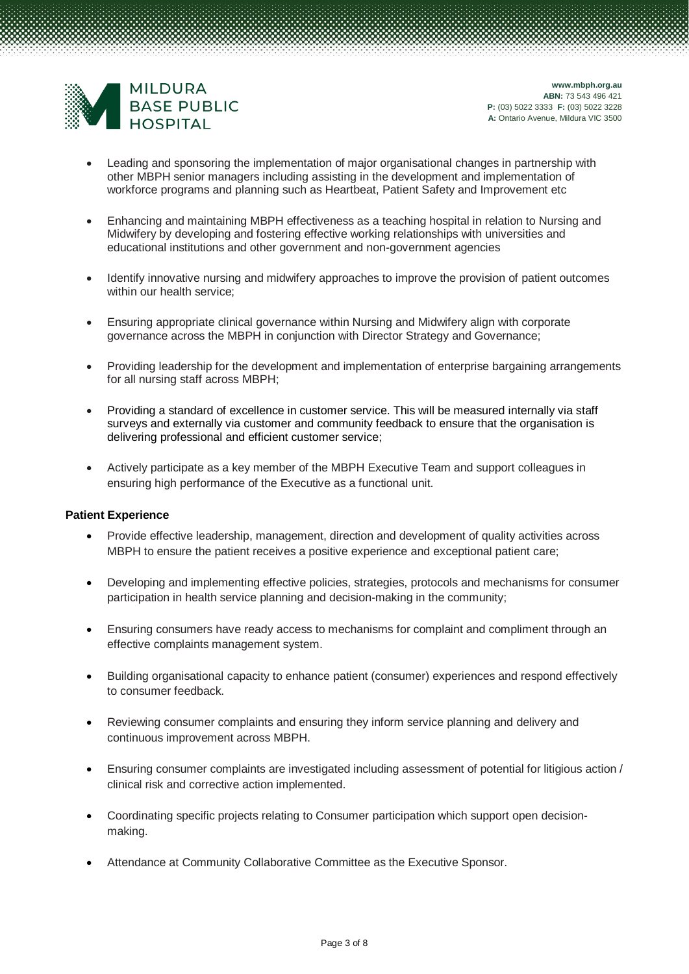

- Leading and sponsoring the implementation of major organisational changes in partnership with other MBPH senior managers including assisting in the development and implementation of workforce programs and planning such as Heartbeat, Patient Safety and Improvement etc
- Enhancing and maintaining MBPH effectiveness as a teaching hospital in relation to Nursing and Midwifery by developing and fostering effective working relationships with universities and educational institutions and other government and non-government agencies
- Identify innovative nursing and midwifery approaches to improve the provision of patient outcomes within our health service;
- Ensuring appropriate clinical governance within Nursing and Midwifery align with corporate governance across the MBPH in conjunction with Director Strategy and Governance;
- Providing leadership for the development and implementation of enterprise bargaining arrangements for all nursing staff across MBPH;
- Providing a standard of excellence in customer service. This will be measured internally via staff surveys and externally via customer and community feedback to ensure that the organisation is delivering professional and efficient customer service;
- Actively participate as a key member of the MBPH Executive Team and support colleagues in ensuring high performance of the Executive as a functional unit.

#### **Patient Experience**

- Provide effective leadership, management, direction and development of quality activities across MBPH to ensure the patient receives a positive experience and exceptional patient care;
- Developing and implementing effective policies, strategies, protocols and mechanisms for consumer participation in health service planning and decision-making in the community;
- Ensuring consumers have ready access to mechanisms for complaint and compliment through an effective complaints management system.
- Building organisational capacity to enhance patient (consumer) experiences and respond effectively to consumer feedback.
- Reviewing consumer complaints and ensuring they inform service planning and delivery and continuous improvement across MBPH.
- Ensuring consumer complaints are investigated including assessment of potential for litigious action / clinical risk and corrective action implemented.
- Coordinating specific projects relating to Consumer participation which support open decisionmaking.
- Attendance at Community Collaborative Committee as the Executive Sponsor.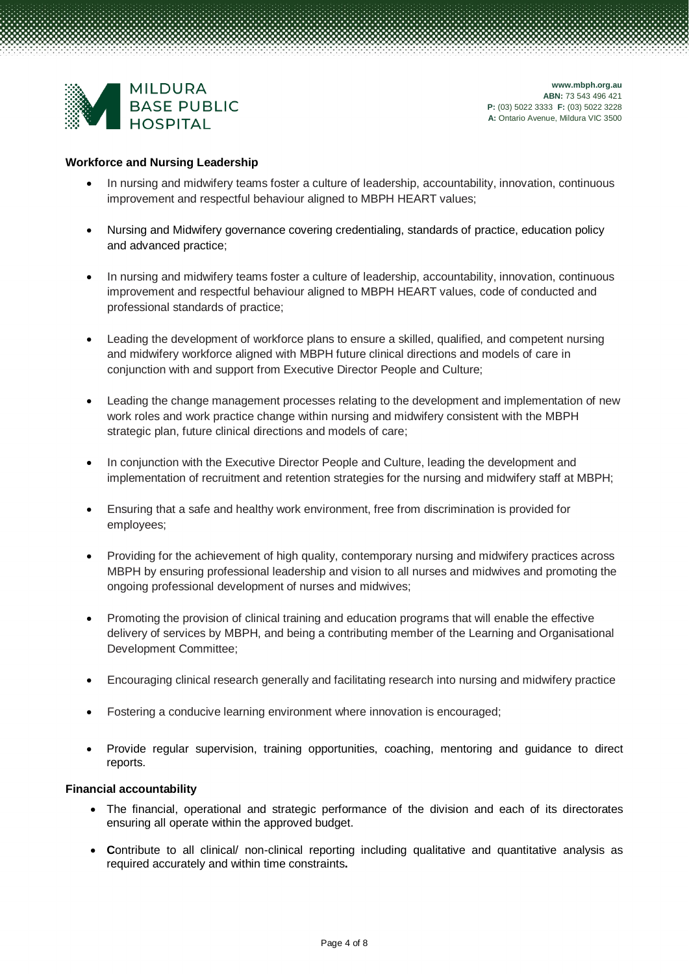

#### **Workforce and Nursing Leadership**

- In nursing and midwifery teams foster a culture of leadership, accountability, innovation, continuous improvement and respectful behaviour aligned to MBPH HEART values;
- Nursing and Midwifery governance covering credentialing, standards of practice, education policy and advanced practice;
- In nursing and midwifery teams foster a culture of leadership, accountability, innovation, continuous improvement and respectful behaviour aligned to MBPH HEART values, code of conducted and professional standards of practice;
- Leading the development of workforce plans to ensure a skilled, qualified, and competent nursing and midwifery workforce aligned with MBPH future clinical directions and models of care in conjunction with and support from Executive Director People and Culture;
- Leading the change management processes relating to the development and implementation of new work roles and work practice change within nursing and midwifery consistent with the MBPH strategic plan, future clinical directions and models of care;
- In conjunction with the Executive Director People and Culture, leading the development and implementation of recruitment and retention strategies for the nursing and midwifery staff at MBPH;
- Ensuring that a safe and healthy work environment, free from discrimination is provided for employees;
- Providing for the achievement of high quality, contemporary nursing and midwifery practices across MBPH by ensuring professional leadership and vision to all nurses and midwives and promoting the ongoing professional development of nurses and midwives;
- Promoting the provision of clinical training and education programs that will enable the effective delivery of services by MBPH, and being a contributing member of the Learning and Organisational Development Committee;
- Encouraging clinical research generally and facilitating research into nursing and midwifery practice
- Fostering a conducive learning environment where innovation is encouraged;
- Provide regular supervision, training opportunities, coaching, mentoring and guidance to direct reports.

#### **Financial accountability**

- The financial, operational and strategic performance of the division and each of its directorates ensuring all operate within the approved budget.
- **C**ontribute to all clinical/ non-clinical reporting including qualitative and quantitative analysis as required accurately and within time constraints**.**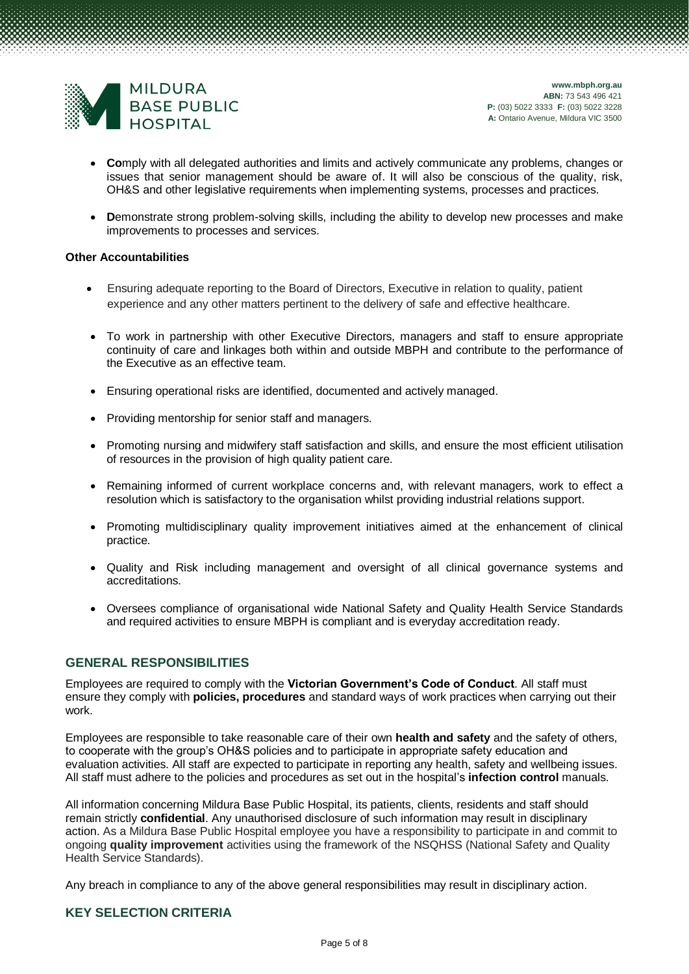

- **Co**mply with all delegated authorities and limits and actively communicate any problems, changes or issues that senior management should be aware of. It will also be conscious of the quality, risk, OH&S and other legislative requirements when implementing systems, processes and practices.
- **Demonstrate strong problem-solving skills, including the ability to develop new processes and make** improvements to processes and services.

#### **Other Accountabilities**

- Ensuring adequate reporting to the Board of Directors, Executive in relation to quality, patient experience and any other matters pertinent to the delivery of safe and effective healthcare.
- To work in partnership with other Executive Directors, managers and staff to ensure appropriate continuity of care and linkages both within and outside MBPH and contribute to the performance of the Executive as an effective team.
- Ensuring operational risks are identified, documented and actively managed.
- Providing mentorship for senior staff and managers.
- Promoting nursing and midwifery staff satisfaction and skills, and ensure the most efficient utilisation of resources in the provision of high quality patient care.
- Remaining informed of current workplace concerns and, with relevant managers, work to effect a resolution which is satisfactory to the organisation whilst providing industrial relations support.
- Promoting multidisciplinary quality improvement initiatives aimed at the enhancement of clinical practice.
- Quality and Risk including management and oversight of all clinical governance systems and accreditations.
- Oversees compliance of organisational wide National Safety and Quality Health Service Standards and required activities to ensure MBPH is compliant and is everyday accreditation ready.

#### **GENERAL RESPONSIBILITIES**

Employees are required to comply with the **Victorian Government's Code of Conduct**. All staff must ensure they comply with **policies, procedures** and standard ways of work practices when carrying out their work.

Employees are responsible to take reasonable care of their own **health and safety** and the safety of others, to cooperate with the group's OH&S policies and to participate in appropriate safety education and evaluation activities. All staff are expected to participate in reporting any health, safety and wellbeing issues. All staff must adhere to the policies and procedures as set out in the hospital's **infection control** manuals.

All information concerning Mildura Base Public Hospital, its patients, clients, residents and staff should remain strictly **confidential**. Any unauthorised disclosure of such information may result in disciplinary action. As a Mildura Base Public Hospital employee you have a responsibility to participate in and commit to ongoing **quality improvement** activities using the framework of the NSQHSS (National Safety and Quality Health Service Standards).

Any breach in compliance to any of the above general responsibilities may result in disciplinary action.

#### **KEY SELECTION CRITERIA**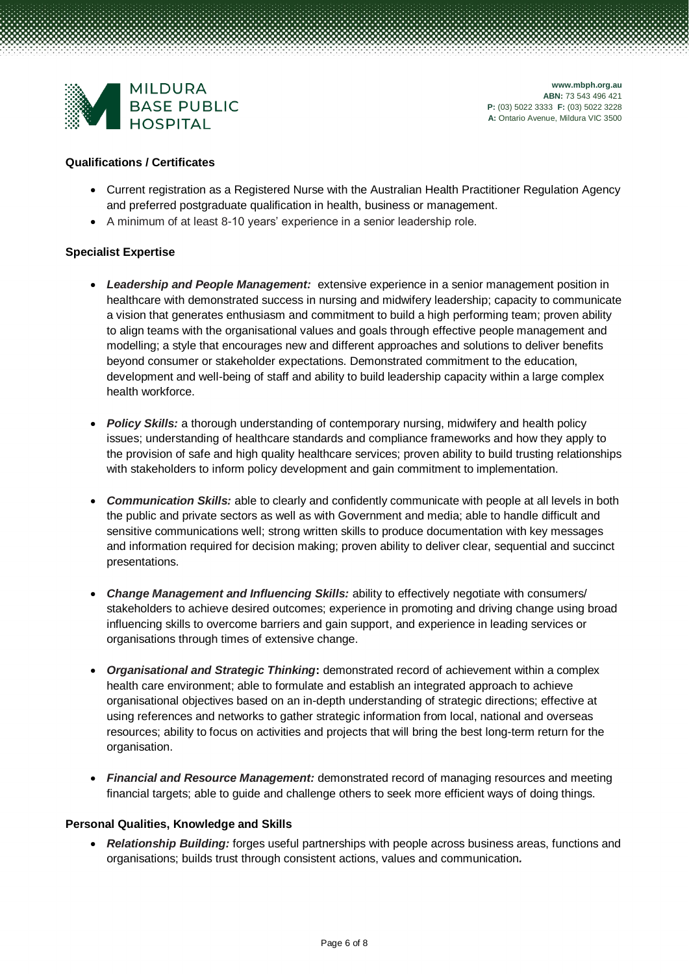

#### **Qualifications / Certificates**

- Current registration as a Registered Nurse with the Australian Health Practitioner Regulation Agency and preferred postgraduate qualification in health, business or management.
- A minimum of at least 8-10 years' experience in a senior leadership role.

#### **Specialist Expertise**

- *Leadership and People Management:* extensive experience in a senior management position in healthcare with demonstrated success in nursing and midwifery leadership; capacity to communicate a vision that generates enthusiasm and commitment to build a high performing team; proven ability to align teams with the organisational values and goals through effective people management and modelling; a style that encourages new and different approaches and solutions to deliver benefits beyond consumer or stakeholder expectations. Demonstrated commitment to the education, development and well-being of staff and ability to build leadership capacity within a large complex health workforce.
- *Policy Skills:* a thorough understanding of contemporary nursing, midwifery and health policy issues; understanding of healthcare standards and compliance frameworks and how they apply to the provision of safe and high quality healthcare services; proven ability to build trusting relationships with stakeholders to inform policy development and gain commitment to implementation.
- *Communication Skills:* able to clearly and confidently communicate with people at all levels in both the public and private sectors as well as with Government and media; able to handle difficult and sensitive communications well; strong written skills to produce documentation with key messages and information required for decision making; proven ability to deliver clear, sequential and succinct presentations.
- *Change Management and Influencing Skills:* ability to effectively negotiate with consumers/ stakeholders to achieve desired outcomes; experience in promoting and driving change using broad influencing skills to overcome barriers and gain support, and experience in leading services or organisations through times of extensive change.
- *Organisational and Strategic Thinking***:** demonstrated record of achievement within a complex health care environment; able to formulate and establish an integrated approach to achieve organisational objectives based on an in-depth understanding of strategic directions; effective at using references and networks to gather strategic information from local, national and overseas resources; ability to focus on activities and projects that will bring the best long-term return for the organisation.
- *Financial and Resource Management:* demonstrated record of managing resources and meeting financial targets; able to guide and challenge others to seek more efficient ways of doing things.

#### **Personal Qualities, Knowledge and Skills**

• *Relationship Building:* forges useful partnerships with people across business areas, functions and organisations; builds trust through consistent actions, values and communication*.*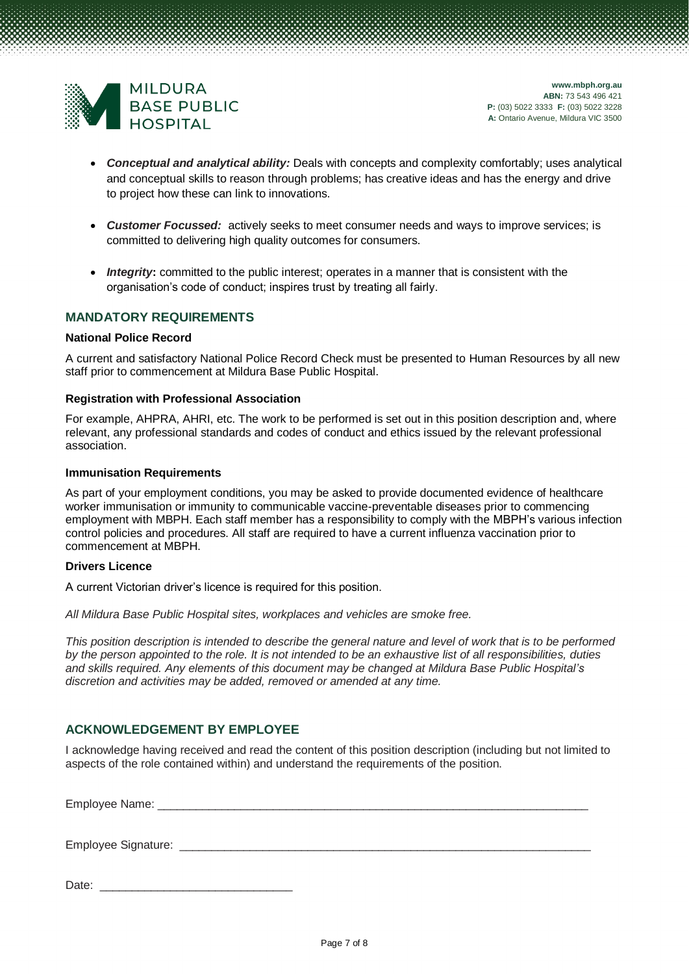

- *Conceptual and analytical ability:* Deals with concepts and complexity comfortably; uses analytical and conceptual skills to reason through problems; has creative ideas and has the energy and drive to project how these can link to innovations.
- *Customer Focussed:* actively seeks to meet consumer needs and ways to improve services; is committed to delivering high quality outcomes for consumers.
- *Integrity***:** committed to the public interest; operates in a manner that is consistent with the organisation's code of conduct; inspires trust by treating all fairly.

#### **MANDATORY REQUIREMENTS**

#### **National Police Record**

A current and satisfactory National Police Record Check must be presented to Human Resources by all new staff prior to commencement at Mildura Base Public Hospital.

#### **Registration with Professional Association**

For example, AHPRA, AHRI, etc. The work to be performed is set out in this position description and, where relevant, any professional standards and codes of conduct and ethics issued by the relevant professional association.

#### **Immunisation Requirements**

As part of your employment conditions, you may be asked to provide documented evidence of healthcare worker immunisation or immunity to communicable vaccine-preventable diseases prior to commencing employment with MBPH. Each staff member has a responsibility to comply with the MBPH's various infection control policies and procedures. All staff are required to have a current influenza vaccination prior to commencement at MBPH.

#### **Drivers Licence**

A current Victorian driver's licence is required for this position.

*All Mildura Base Public Hospital sites, workplaces and vehicles are smoke free.*

*This position description is intended to describe the general nature and level of work that is to be performed by the person appointed to the role. It is not intended to be an exhaustive list of all responsibilities, duties and skills required. Any elements of this document may be changed at Mildura Base Public Hospital's discretion and activities may be added, removed or amended at any time.*

#### **ACKNOWLEDGEMENT BY EMPLOYEE**

I acknowledge having received and read the content of this position description (including but not limited to aspects of the role contained within) and understand the requirements of the position.

Employee Name:

Employee Signature:

Date: